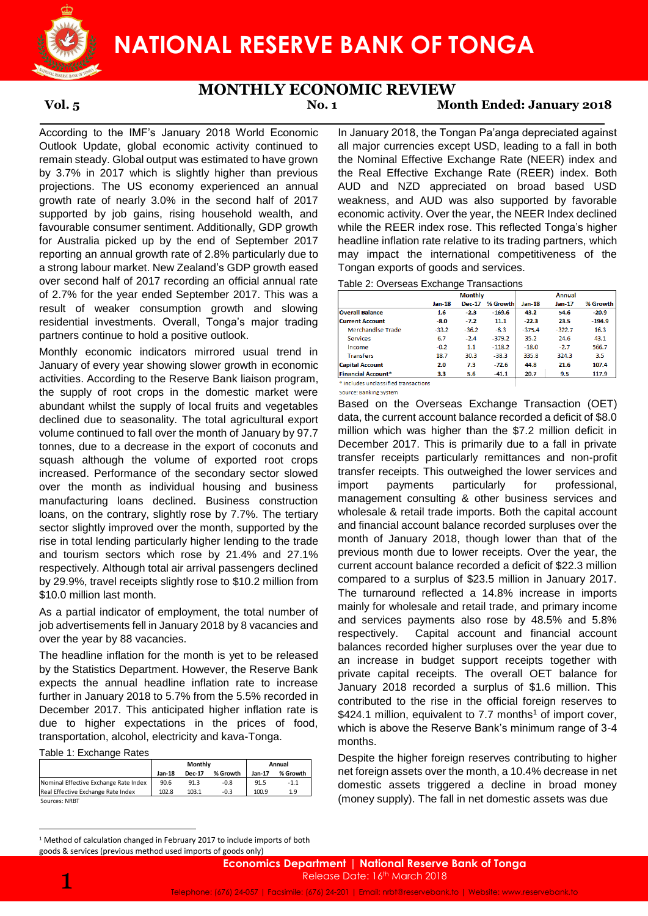

### **MONTHLY ECONOMIC REVIEW**

## **Vol. 5 No. 1 Month Ended: January 2018**

According to the IMF's January 2018 World Economic Outlook Update, global economic activity continued to remain steady. Global output was estimated to have grown by 3.7% in 2017 which is slightly higher than previous projections. The US economy experienced an annual growth rate of nearly 3.0% in the second half of 2017 supported by job gains, rising household wealth, and favourable consumer sentiment. Additionally, GDP growth for Australia picked up by the end of September 2017 reporting an annual growth rate of 2.8% particularly due to a strong labour market. New Zealand's GDP growth eased over second half of 2017 recording an official annual rate of 2.7% for the year ended September 2017. This was a result of weaker consumption growth and slowing residential investments. Overall, Tonga's major trading partners continue to hold a positive outlook.

Monthly economic indicators mirrored usual trend in January of every year showing slower growth in economic activities. According to the Reserve Bank liaison program, the supply of root crops in the domestic market were abundant whilst the supply of local fruits and vegetables declined due to seasonality. The total agricultural export volume continued to fall over the month of January by 97.7 tonnes, due to a decrease in the export of coconuts and squash although the volume of exported root crops increased. Performance of the secondary sector slowed over the month as individual housing and business manufacturing loans declined. Business construction loans, on the contrary, slightly rose by 7.7%. The tertiary sector slightly improved over the month, supported by the rise in total lending particularly higher lending to the trade and tourism sectors which rose by 21.4% and 27.1% respectively. Although total air arrival passengers declined by 29.9%, travel receipts slightly rose to \$10.2 million from \$10.0 million last month.

As a partial indicator of employment, the total number of job advertisements fell in January 2018 by 8 vacancies and over the year by 88 vacancies.

The headline inflation for the month is yet to be released by the Statistics Department. However, the Reserve Bank expects the annual headline inflation rate to increase further in January 2018 to 5.7% from the 5.5% recorded in December 2017. This anticipated higher inflation rate is due to higher expectations in the prices of food, transportation, alcohol, electricity and kava-Tonga.

Table 1: Exchange Rates

|                                       |          | Monthly | Annual   |        |          |
|---------------------------------------|----------|---------|----------|--------|----------|
|                                       | $Jan-18$ | Dec-17  | % Growth | Jan-17 | % Growth |
| Nominal Effective Exchange Rate Index | 90.6     | 91.3    | $-0.8$   | 91.5   | $-1.1$   |
| Real Effective Exchange Rate Index    | 102.8    | 103.1   | $-0.3$   | 100.9  | 1.9      |
| Sources: NRBT                         |          |         |          |        |          |

In January 2018, the Tongan Pa'anga depreciated against all major currencies except USD, leading to a fall in both the Nominal Effective Exchange Rate (NEER) index and the Real Effective Exchange Rate (REER) index. Both AUD and NZD appreciated on broad based USD weakness, and AUD was also supported by favorable economic activity. Over the year, the NEER Index declined while the REER index rose. This reflected Tonga's higher headline inflation rate relative to its trading partners, which may impact the international competitiveness of the Tongan exports of goods and services.

Table 2: Overseas Exchange Transactions

|                           |          | <b>Monthly</b> |          |          | Annual   |          |  |
|---------------------------|----------|----------------|----------|----------|----------|----------|--|
|                           | $Jan-18$ | <b>Dec-17</b>  | % Growth | $Jan-18$ | $Jan-17$ | % Growth |  |
| <b>Overall Balance</b>    | 1.6      | $-2.3$         | $-169.6$ | 43.2     | 54.6     | $-20.9$  |  |
| <b>Current Account</b>    | $-8.0$   | $-7.2$         | 11.1     | $-22.3$  | 23.5     | $-194.9$ |  |
| <b>Merchandise Trade</b>  | $-33.2$  | $-36.2$        | $-8.3$   | $-375.4$ | $-322.7$ | 16.3     |  |
| <b>Services</b>           | 6.7      | $-2.4$         | $-379.2$ | 35.2     | 24.6     | 43.1     |  |
| Income                    | $-0.2$   | 1.1            | $-118.2$ | $-18.0$  | $-2.7$   | 566.7    |  |
| <b>Transfers</b>          | 18.7     | 30.3           | $-38.3$  | 335.8    | 324.3    | 3.5      |  |
| <b>Capital Account</b>    | 2.0      | 7.3            | $-72.6$  | 44.8     | 21.6     | 107.4    |  |
| <b>Financial Account*</b> | 3.3      | 5.6            | $-41.1$  | 20.7     | 9.5      | 117.9    |  |

\* Includes unclassified transactions Source: Banking System

Based on the Overseas Exchange Transaction (OET) data, the current account balance recorded a deficit of \$8.0 million which was higher than the \$7.2 million deficit in December 2017. This is primarily due to a fall in private transfer receipts particularly remittances and non-profit transfer receipts. This outweighed the lower services and import payments particularly for professional, management consulting & other business services and wholesale & retail trade imports. Both the capital account and financial account balance recorded surpluses over the month of January 2018, though lower than that of the previous month due to lower receipts. Over the year, the current account balance recorded a deficit of \$22.3 million compared to a surplus of \$23.5 million in January 2017. The turnaround reflected a 14.8% increase in imports mainly for wholesale and retail trade, and primary income and services payments also rose by 48.5% and 5.8% respectively. Capital account and financial account balances recorded higher surpluses over the year due to an increase in budget support receipts together with private capital receipts. The overall OET balance for January 2018 recorded a surplus of \$1.6 million. This contributed to the rise in the official foreign reserves to \$424.1 million, equivalent to 7.7 months<sup>1</sup> of import cover, which is above the Reserve Bank's minimum range of 3-4 months.

Despite the higher foreign reserves contributing to higher net foreign assets over the month, a 10.4% decrease in net domestic assets triggered a decline in broad money (money supply). The fall in net domestic assets was due

**<sup>.</sup>** <sup>1</sup> Method of calculation changed in February 2017 to include imports of both goods & services (previous method used imports of goods only)